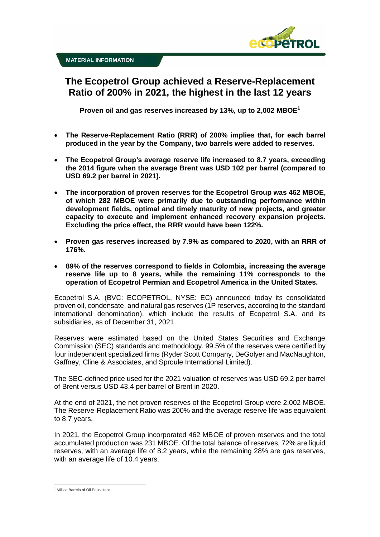

**The Ecopetrol Group achieved a Reserve-Replacement Ratio of 200% in 2021, the highest in the last 12 years**

**Proven oil and gas reserves increased by 13%, up to 2,002 MBOE<sup>1</sup>**

- **The Reserve-Replacement Ratio (RRR) of 200% implies that, for each barrel produced in the year by the Company, two barrels were added to reserves.**
- **The Ecopetrol Group's average reserve life increased to 8.7 years, exceeding the 2014 figure when the average Brent was USD 102 per barrel (compared to USD 69.2 per barrel in 2021).**
- **The incorporation of proven reserves for the Ecopetrol Group was 462 MBOE, of which 282 MBOE were primarily due to outstanding performance within development fields, optimal and timely maturity of new projects, and greater capacity to execute and implement enhanced recovery expansion projects. Excluding the price effect, the RRR would have been 122%.**
- **Proven gas reserves increased by 7.9% as compared to 2020, with an RRR of 176%.**
- **89% of the reserves correspond to fields in Colombia, increasing the average reserve life up to 8 years, while the remaining 11% corresponds to the operation of Ecopetrol Permian and Ecopetrol America in the United States.**

Ecopetrol S.A. (BVC: ECOPETROL, NYSE: EC) announced today its consolidated proven oil, condensate, and natural gas reserves (1P reserves, according to the standard international denomination), which include the results of Ecopetrol S.A. and its subsidiaries, as of December 31, 2021.

Reserves were estimated based on the United States Securities and Exchange Commission (SEC) standards and methodology. 99.5% of the reserves were certified by four independent specialized firms (Ryder Scott Company, DeGolyer and MacNaughton, Gaffney, Cline & Associates, and Sproule International Limited).

The SEC-defined price used for the 2021 valuation of reserves was USD 69.2 per barrel of Brent versus USD 43.4 per barrel of Brent in 2020.

At the end of 2021, the net proven reserves of the Ecopetrol Group were 2,002 MBOE. The Reserve-Replacement Ratio was 200% and the average reserve life was equivalent to 8.7 years.

In 2021, the Ecopetrol Group incorporated 462 MBOE of proven reserves and the total accumulated production was 231 MBOE. Of the total balance of reserves, 72% are liquid reserves, with an average life of 8.2 years, while the remaining 28% are gas reserves, with an average life of 10.4 years.

<sup>&</sup>lt;sup>1</sup> Million Barrels of Oil Equivalent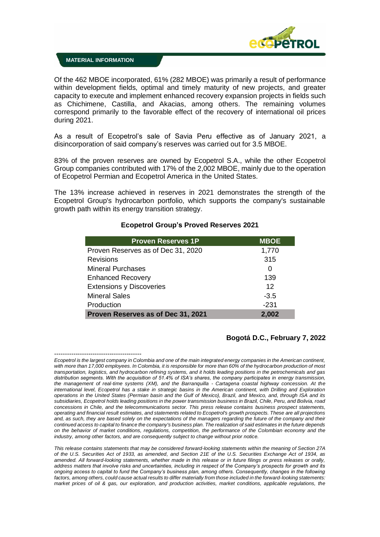

#### **MATERIAL INFORMATION**

Of the 462 MBOE incorporated, 61% (282 MBOE) was primarily a result of performance within development fields, optimal and timely maturity of new projects, and greater capacity to execute and implement enhanced recovery expansion projects in fields such as Chichimene, Castilla, and Akacias, among others. The remaining volumes correspond primarily to the favorable effect of the recovery of international oil prices during 2021.

As a result of Ecopetrol's sale of Savia Peru effective as of January 2021, a disincorporation of said company's reserves was carried out for 3.5 MBOE.

83% of the proven reserves are owned by Ecopetrol S.A., while the other Ecopetrol Group companies contributed with 17% of the 2,002 MBOE, mainly due to the operation of Ecopetrol Permian and Ecopetrol America in the United States.

The 13% increase achieved in reserves in 2021 demonstrates the strength of the Ecopetrol Group's hydrocarbon portfolio, which supports the company's sustainable growth path within its energy transition strategy.

| <b>Proven Reserves 1P</b>          | <b>MBOE</b> |
|------------------------------------|-------------|
| Proven Reserves as of Dec 31, 2020 | 1,770       |
| <b>Revisions</b>                   | 315         |
| <b>Mineral Purchases</b>           | 0           |
| <b>Enhanced Recovery</b>           | 139         |
| <b>Extensions y Discoveries</b>    | 12          |
| <b>Mineral Sales</b>               | $-3.5$      |
| Production                         | $-231$      |
| Proven Reserves as of Dec 31, 2021 | 2,002       |

### **Ecopetrol Group's Proved Reserves 2021**

# **Bogotá D.C., February 7, 2022**

<sup>-----------------------------------------</sup> *Ecopetrol is the largest company in Colombia and one of the main integrated energy companies in the American continent, with more than 17,000 employees. In Colombia, it is responsible for more than 60% of the hydrocarbon production of most transportation, logistics, and hydrocarbon refining systems, and it holds leading positions in the petrochemicals and gas distribution segments. With the acquisition of 51.4% of ISA's shares, the company participates in energy transmission, the management of real-time systems (XM), and the Barranquilla - Cartagena coastal highway concession. At the international level, Ecopetrol has a stake in strategic basins in the American continent, with Drilling and Exploration operations in the United States (Permian basin and the Gulf of Mexico), Brazil, and Mexico, and, through ISA and its subsidiaries, Ecopetrol holds leading positions in the power transmission business in Brazil, Chile, Peru, and Bolivia, road concessions in Chile, and the telecommunications sector. This press release contains business prospect statements, operating and financial result estimates, and statements related to Ecopetrol's growth prospects. These are all projections and, as such, they are based solely on the expectations of the managers regarding the future of the company and their continued access to capital to finance the company's business plan. The realization of said estimates in the future depends on the behavior of market conditions, regulations, competition, the performance of the Colombian economy and the industry, among other factors, and are consequently subject to change without prior notice.*

*This release contains statements that may be considered forward-looking statements within the meaning of Section 27A of the U.S. Securities Act of 1933, as amended, and Section 21E of the U.S. Securities Exchange Act of 1934, as amended. All forward-looking statements, whether made in this release or in future filings or press releases or orally, address matters that involve risks and uncertainties, including in respect of the Company's prospects for growth and its ongoing access to capital to fund the Company's business plan, among others. Consequently, changes in the following factors, among others, could cause actual results to differ materially from those included in the forward-looking statements: market prices of oil & gas, our exploration, and production activities, market conditions, applicable regulations, the*